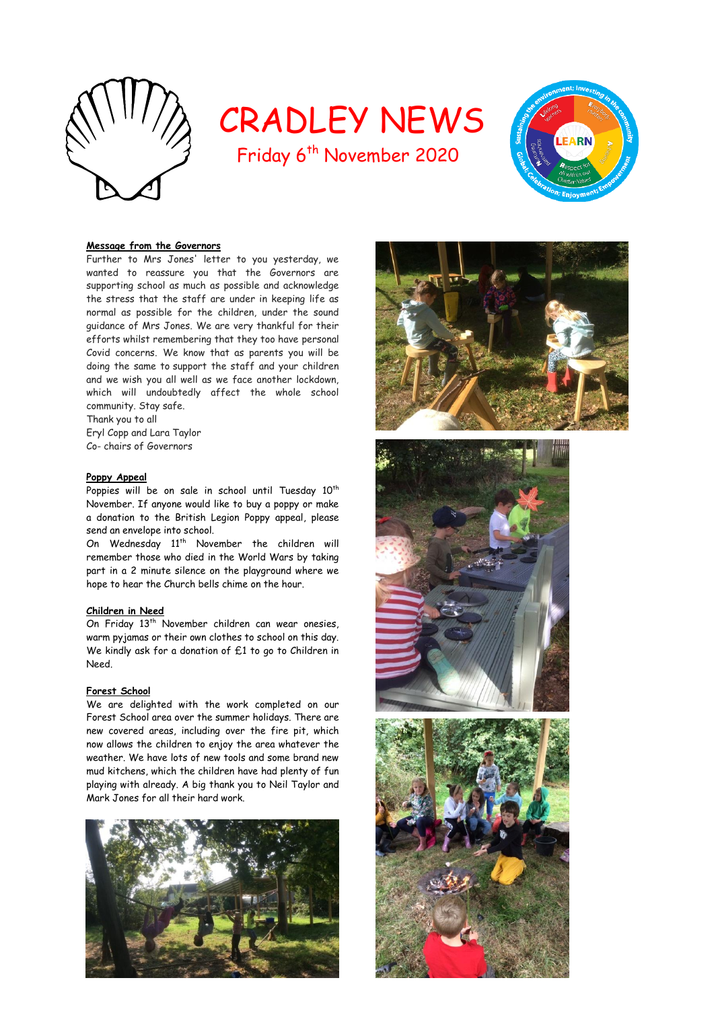

# CRADLEY NEWS

Friday 6<sup>th</sup> November 2020



## **Message from the Governors**

Further to Mrs Jones' letter to you yesterday, we wanted to reassure you that the Governors are supporting school as much as possible and acknowledge the stress that the staff are under in keeping life as normal as possible for the children, under the sound guidance of Mrs Jones. We are very thankful for their efforts whilst remembering that they too have personal Covid concerns. We know that as parents you will be doing the same to support the staff and your children and we wish you all well as we face another lockdown, which will undoubtedly affect the whole school community. Stay safe.

Thank you to all Eryl Copp and Lara Taylor Co- chairs of Governors

## **Poppy Appeal**

Poppies will be on sale in school until Tuesday 10<sup>th</sup> November. If anyone would like to buy a poppy or make a donation to the British Legion Poppy appeal, please send an envelope into school.

On Wednesday 11<sup>th</sup> November the children will remember those who died in the World Wars by taking part in a 2 minute silence on the playground where we hope to hear the Church bells chime on the hour.

## **Children in Need**

On Friday 13<sup>th</sup> November children can wear onesies, warm pyjamas or their own clothes to school on this day. We kindly ask for a donation of £1 to go to Children in Need.

## **Forest School**

We are delighted with the work completed on our Forest School area over the summer holidays. There are new covered areas, including over the fire pit, which now allows the children to enjoy the area whatever the weather. We have lots of new tools and some brand new mud kitchens, which the children have had plenty of fun playing with already. A big thank you to Neil Taylor and Mark Jones for all their hard work.







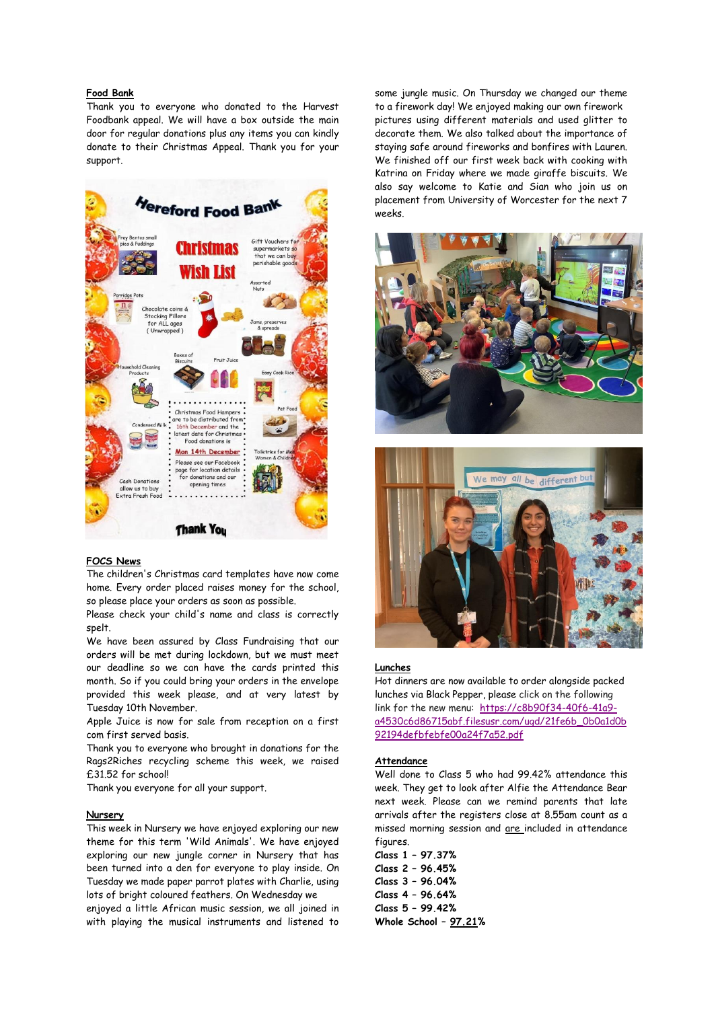## **Food Bank**

Thank you to everyone who donated to the Harvest Foodbank appeal. We will have a box outside the main door for regular donations plus any items you can kindly donate to their Christmas Appeal. Thank you for your support.



#### **FOCS News**

The children's Christmas card templates have now come home. Every order placed raises money for the school, so please place your orders as soon as possible.

Please check your child's name and class is correctly spelt.

We have been assured by Class Fundraising that our orders will be met during lockdown, but we must meet our deadline so we can have the cards printed this month. So if you could bring your orders in the envelope provided this week please, and at very latest by Tuesday 10th November.

Apple Juice is now for sale from reception on a first com first served basis.

Thank you to everyone who brought in donations for the Rags2Riches recycling scheme this week, we raised £31.52 for school!

Thank you everyone for all your support.

#### **Nursery**

This week in Nursery we have enjoyed exploring our new theme for this term 'Wild Animals'. We have enjoyed exploring our new jungle corner in Nursery that has been turned into a den for everyone to play inside. On Tuesday we made paper parrot plates with Charlie, using lots of bright coloured feathers. On Wednesday we

enjoyed a little African music session, we all joined in with playing the musical instruments and listened to

some jungle music. On Thursday we changed our theme to a firework day! We enjoyed making our own firework pictures using different materials and used glitter to decorate them. We also talked about the importance of staying safe around fireworks and bonfires with Lauren. We finished off our first week back with cooking with Katrina on Friday where we made giraffe biscuits. We also say welcome to Katie and Sian who join us on placement from University of Worcester for the next 7 weeks.





#### **Lunches**

Hot dinners are now available to order alongside packed lunches via Black Pepper, please click on the following link for the new menu: [https://c8b90f34-40f6-41a9](https://c8b90f34-40f6-41a9-a4530c6d86715abf.filesusr.com/ugd/21fe6b_0b0a1d0b92194defbfebfe00a24f7a52.pdf) [a4530c6d86715abf.filesusr.com/ugd/21fe6b\\_0b0a1d0b](https://c8b90f34-40f6-41a9-a4530c6d86715abf.filesusr.com/ugd/21fe6b_0b0a1d0b92194defbfebfe00a24f7a52.pdf) [92194defbfebfe00a24f7a52.pdf](https://c8b90f34-40f6-41a9-a4530c6d86715abf.filesusr.com/ugd/21fe6b_0b0a1d0b92194defbfebfe00a24f7a52.pdf) 

## **Attendance**

Well done to Class 5 who had 99.42% attendance this week. They get to look after Alfie the Attendance Bear next week. Please can we remind parents that late arrivals after the registers close at 8.55am count as a missed morning session and are included in attendance figures.

**Class 1 – 97.37% Class 2 – 96.45% Class 3 – 96.04% Class 4 – 96.64% Class 5 – 99.42% Whole School – 97.21%**